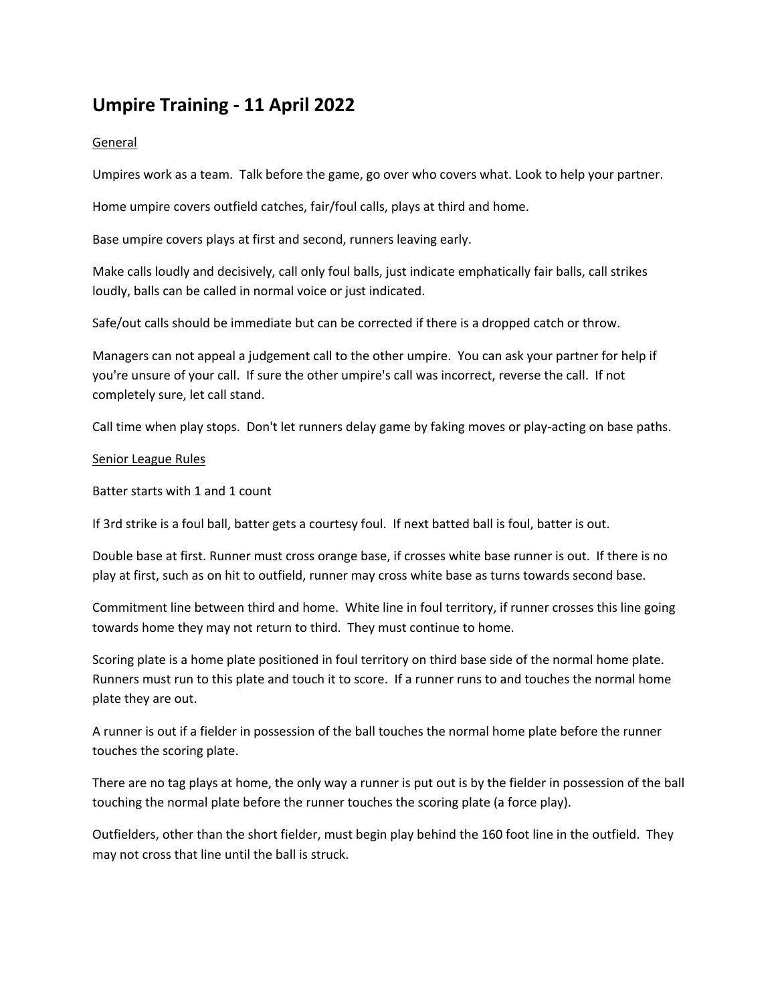# **Umpire Training - 11 April 2022**

## General

Umpires work as a team. Talk before the game, go over who covers what. Look to help your partner.

Home umpire covers outfield catches, fair/foul calls, plays at third and home.

Base umpire covers plays at first and second, runners leaving early.

Make calls loudly and decisively, call only foul balls, just indicate emphatically fair balls, call strikes loudly, balls can be called in normal voice or just indicated.

Safe/out calls should be immediate but can be corrected if there is a dropped catch or throw.

Managers can not appeal a judgement call to the other umpire. You can ask your partner for help if you're unsure of your call. If sure the other umpire's call was incorrect, reverse the call. If not completely sure, let call stand.

Call time when play stops. Don't let runners delay game by faking moves or play-acting on base paths.

#### Senior League Rules

Batter starts with 1 and 1 count

If 3rd strike is a foul ball, batter gets a courtesy foul. If next batted ball is foul, batter is out.

Double base at first. Runner must cross orange base, if crosses white base runner is out. If there is no play at first, such as on hit to outfield, runner may cross white base as turns towards second base.

Commitment line between third and home. White line in foul territory, if runner crosses this line going towards home they may not return to third. They must continue to home.

Scoring plate is a home plate positioned in foul territory on third base side of the normal home plate. Runners must run to this plate and touch it to score. If a runner runs to and touches the normal home plate they are out.

A runner is out if a fielder in possession of the ball touches the normal home plate before the runner touches the scoring plate.

There are no tag plays at home, the only way a runner is put out is by the fielder in possession of the ball touching the normal plate before the runner touches the scoring plate (a force play).

Outfielders, other than the short fielder, must begin play behind the 160 foot line in the outfield. They may not cross that line until the ball is struck.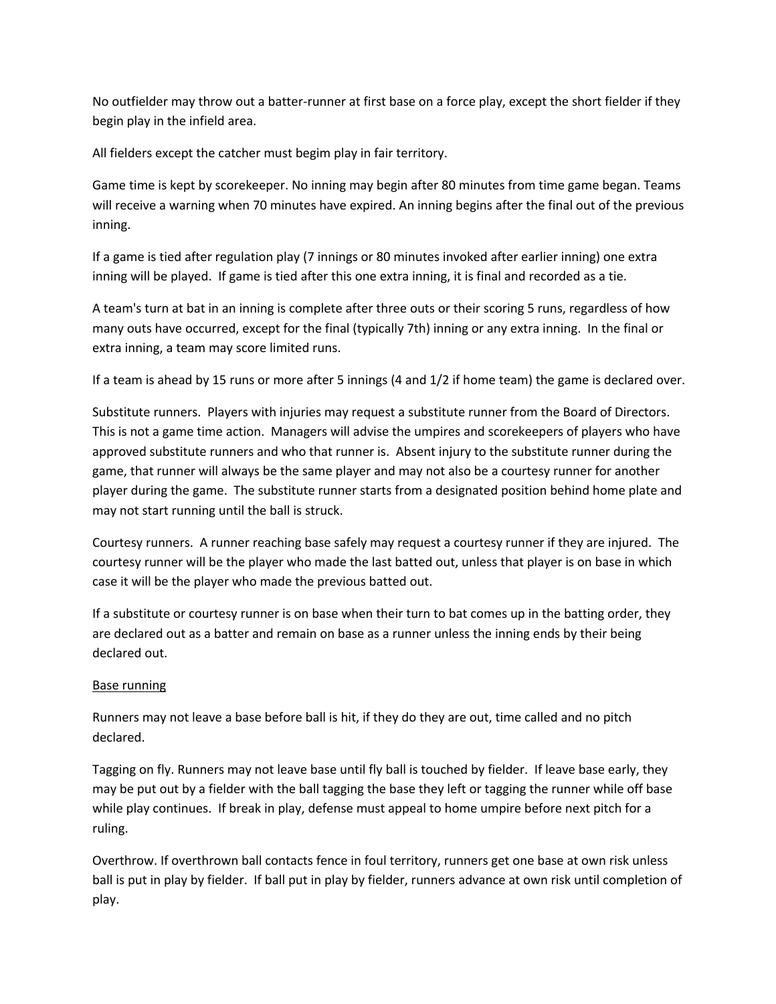No outfielder may throw out a batter-runner at first base on a force play, except the short fielder if they begin play in the infield area.

All fielders except the catcher must begim play in fair territory.

Game time is kept by scorekeeper. No inning may begin after 80 minutes from time game began. Teams will receive a warning when 70 minutes have expired. An inning begins after the final out of the previous inning.

If a game is tied after regulation play (7 innings or 80 minutes invoked after earlier inning) one extra inning will be played. If game is tied after this one extra inning, it is final and recorded as a tie.

A team's turn at bat in an inning is complete after three outs or their scoring 5 runs, regardless of how many outs have occurred, except for the final (typically 7th) inning or any extra inning. In the final or extra inning, a team may score limited runs.

If a team is ahead by 15 runs or more after 5 innings (4 and 1/2 if home team) the game is declared over.

Substitute runners. Players with injuries may request a substitute runner from the Board of Directors. This is not a game time action. Managers will advise the umpires and scorekeepers of players who have approved substitute runners and who that runner is. Absent injury to the substitute runner during the game, that runner will always be the same player and may not also be a courtesy runner for another player during the game. The substitute runner starts from a designated position behind home plate and may not start running until the ball is struck.

Courtesy runners. A runner reaching base safely may request a courtesy runner if they are injured. The courtesy runner will be the player who made the last batted out, unless that player is on base in which case it will be the player who made the previous batted out.

If a substitute or courtesy runner is on base when their turn to bat comes up in the batting order, they are declared out as a batter and remain on base as a runner unless the inning ends by their being declared out.

### Base running

Runners may not leave a base before ball is hit, if they do they are out, time called and no pitch declared.

Tagging on fly. Runners may not leave base until fly ball is touched by fielder. If leave base early, they may be put out by a fielder with the ball tagging the base they left or tagging the runner while off base while play continues. If break in play, defense must appeal to home umpire before next pitch for a ruling.

Overthrow. If overthrown ball contacts fence in foul territory, runners get one base at own risk unless ball is put in play by fielder. If ball put in play by fielder, runners advance at own risk until completion of play.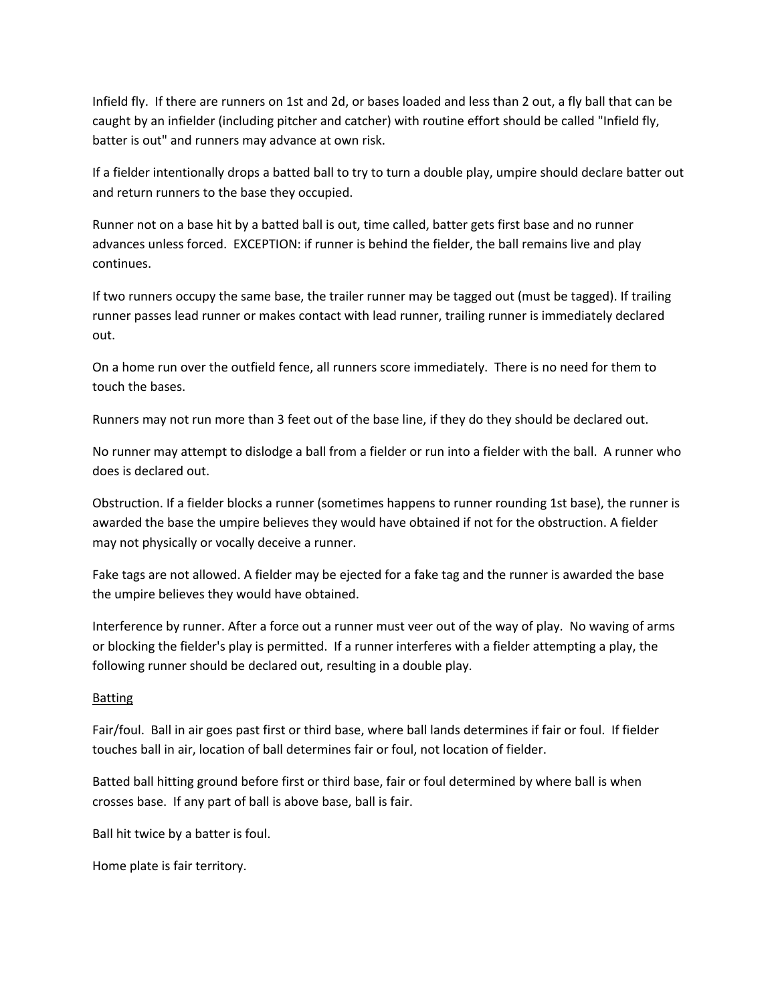Infield fly. If there are runners on 1st and 2d, or bases loaded and less than 2 out, a fly ball that can be caught by an infielder (including pitcher and catcher) with routine effort should be called "Infield fly, batter is out" and runners may advance at own risk.

If a fielder intentionally drops a batted ball to try to turn a double play, umpire should declare batter out and return runners to the base they occupied.

Runner not on a base hit by a batted ball is out, time called, batter gets first base and no runner advances unless forced. EXCEPTION: if runner is behind the fielder, the ball remains live and play continues.

If two runners occupy the same base, the trailer runner may be tagged out (must be tagged). If trailing runner passes lead runner or makes contact with lead runner, trailing runner is immediately declared out.

On a home run over the outfield fence, all runners score immediately. There is no need for them to touch the bases.

Runners may not run more than 3 feet out of the base line, if they do they should be declared out.

No runner may attempt to dislodge a ball from a fielder or run into a fielder with the ball. A runner who does is declared out.

Obstruction. If a fielder blocks a runner (sometimes happens to runner rounding 1st base), the runner is awarded the base the umpire believes they would have obtained if not for the obstruction. A fielder may not physically or vocally deceive a runner.

Fake tags are not allowed. A fielder may be ejected for a fake tag and the runner is awarded the base the umpire believes they would have obtained.

Interference by runner. After a force out a runner must veer out of the way of play. No waving of arms or blocking the fielder's play is permitted. If a runner interferes with a fielder attempting a play, the following runner should be declared out, resulting in a double play.

### Batting

Fair/foul. Ball in air goes past first or third base, where ball lands determines if fair or foul. If fielder touches ball in air, location of ball determines fair or foul, not location of fielder.

Batted ball hitting ground before first or third base, fair or foul determined by where ball is when crosses base. If any part of ball is above base, ball is fair.

Ball hit twice by a batter is foul.

Home plate is fair territory.